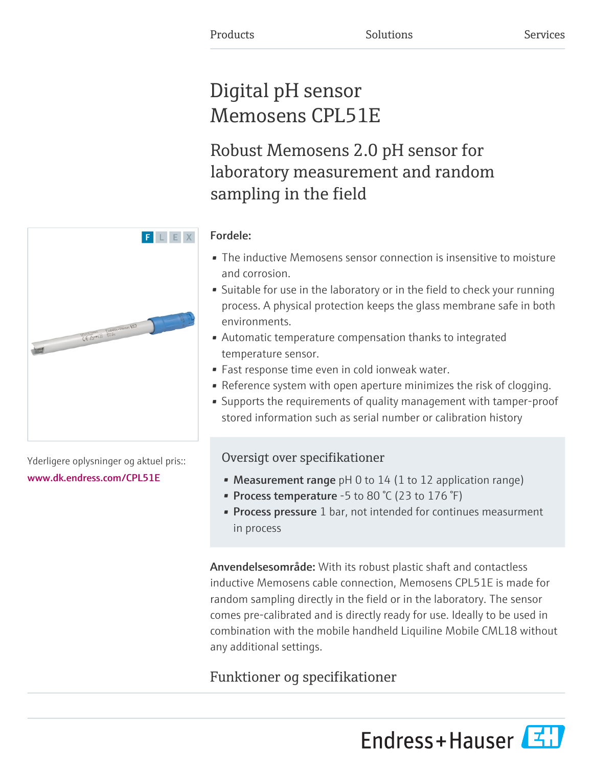# Digital pH sensor Memosens CPL51E

Robust Memosens 2.0 pH sensor for laboratory measurement and random sampling in the field

## Fordele:

F L E X

- The inductive Memosens sensor connection is insensitive to moisture and corrosion.
- Suitable for use in the laboratory or in the field to check your running process. A physical protection keeps the glass membrane safe in both environments.
- Automatic temperature compensation thanks to integrated temperature sensor.
- Fast response time even in cold ionweak water.
- Reference system with open aperture minimizes the risk of clogging.
- Supports the requirements of quality management with tamper-proof stored information such as serial number or calibration history

# Oversigt over specifikationer

- Measurement range  $pH 0$  to 14 (1 to 12 application range)
- Process temperature -5 to 80  $\degree$ C (23 to 176  $\degree$ F)
- **Process pressure** 1 bar, not intended for continues measurment in process

Anvendelsesområde: With its robust plastic shaft and contactless inductive Memosens cable connection, Memosens CPL51E is made for random sampling directly in the field or in the laboratory. The sensor comes pre-calibrated and is directly ready for use. Ideally to be used in combination with the mobile handheld Liquiline Mobile CML18 without any additional settings.

# Funktioner og specifikationer

Endress+Hauser



Yderligere oplysninger og aktuel pris:: [www.dk.endress.com/CPL51E](https://www.dk.endress.com/CPL51E)